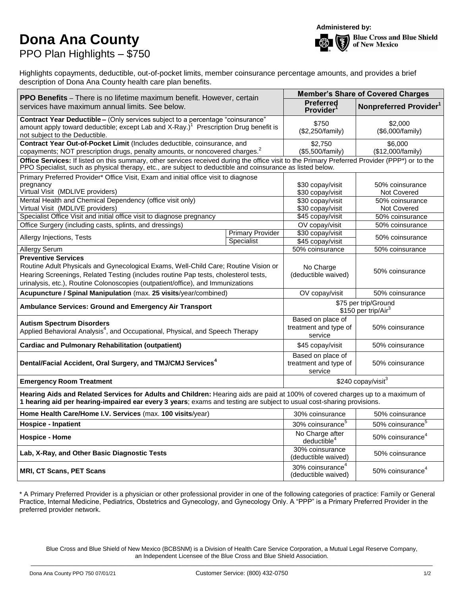## **Dona Ana County** PPO Plan Highlights – \$750



Highlights copayments, deductible, out-of-pocket limits, member coinsurance percentage amounts, and provides a brief description of Dona Ana County health care plan benefits.

| PPO Benefits - There is no lifetime maximum benefit. However, certain<br>services have maximum annual limits. See below.                                                                                                                                                                    |                         | <b>Member's Share of Covered Charges</b>                |                                            |  |  |  |  |
|---------------------------------------------------------------------------------------------------------------------------------------------------------------------------------------------------------------------------------------------------------------------------------------------|-------------------------|---------------------------------------------------------|--------------------------------------------|--|--|--|--|
|                                                                                                                                                                                                                                                                                             |                         | <b>Preferred</b><br><b>Provider</b>                     | Nonpreferred Provider <sup>1</sup>         |  |  |  |  |
| Contract Year Deductible - (Only services subject to a percentage "coinsurance"<br>amount apply toward deductible; except Lab and X-Ray.) <sup>1</sup> Prescription Drug benefit is<br>not subject to the Deductible.                                                                       |                         | \$750<br>(\$2,250/family)                               | \$2,000<br>(\$6,000/family)                |  |  |  |  |
| Contract Year Out-of-Pocket Limit (Includes deductible, coinsurance, and<br>copayments; NOT prescription drugs, penalty amounts, or noncovered charges. <sup>2</sup>                                                                                                                        |                         | \$2,750<br>(\$5,500/family)                             | \$6.000<br>(\$12,000/family)               |  |  |  |  |
| Office Services: If listed on this summary, other services received during the office visit to the Primary Preferred Provider (PPP*) or to the<br>PPO Specialist, such as physical therapy, etc., are subject to deductible and coinsurance as listed below.                                |                         |                                                         |                                            |  |  |  |  |
| Primary Preferred Provider* Office Visit, Exam and initial office visit to diagnose<br>pregnancy<br>Virtual Visit (MDLIVE providers)                                                                                                                                                        |                         | \$30 copay/visit<br>\$30 copay/visit                    | 50% coinsurance<br>Not Covered             |  |  |  |  |
| Mental Health and Chemical Dependency (office visit only)<br>Virtual Visit (MDLIVE providers)                                                                                                                                                                                               |                         | \$30 copay/visit<br>\$30 copay/visit                    | 50% coinsurance<br><b>Not Covered</b>      |  |  |  |  |
| Specialist Office Visit and initial office visit to diagnose pregnancy                                                                                                                                                                                                                      | \$45 copay/visit        | 50% coinsurance                                         |                                            |  |  |  |  |
| Office Surgery (including casts, splints, and dressings)                                                                                                                                                                                                                                    |                         | OV copay/visit                                          | 50% coinsurance                            |  |  |  |  |
| Allergy Injections, Tests<br>Specialist                                                                                                                                                                                                                                                     | <b>Primary Provider</b> | \$30 copay/visit<br>\$45 copay/visit                    | 50% coinsurance                            |  |  |  |  |
| <b>Allergy Serum</b>                                                                                                                                                                                                                                                                        |                         | 50% coinsurance                                         | 50% coinsurance                            |  |  |  |  |
| <b>Preventive Services</b><br>Routine Adult Physicals and Gynecological Exams, Well-Child Care; Routine Vision or<br>Hearing Screenings, Related Testing (includes routine Pap tests, cholesterol tests,<br>urinalysis, etc.), Routine Colonoscopies (outpatient/office), and Immunizations |                         | No Charge<br>(deductible waived)                        | 50% coinsurance                            |  |  |  |  |
| Acupuncture / Spinal Manipulation (max. 25 visits/year/combined)                                                                                                                                                                                                                            |                         | OV copay/visit                                          | 50% coinsurance                            |  |  |  |  |
| Ambulance Services: Ground and Emergency Air Transport                                                                                                                                                                                                                                      |                         | \$75 per trip/Ground<br>\$150 per trip/Air <sup>3</sup> |                                            |  |  |  |  |
| <b>Autism Spectrum Disorders</b><br>Applied Behavioral Analysis <sup>4</sup> , and Occupational, Physical, and Speech Therapy                                                                                                                                                               |                         | Based on place of<br>treatment and type of<br>service   | 50% coinsurance                            |  |  |  |  |
| <b>Cardiac and Pulmonary Rehabilitation (outpatient)</b>                                                                                                                                                                                                                                    |                         | \$45 copay/visit                                        | 50% coinsurance                            |  |  |  |  |
| Dental/Facial Accident, Oral Surgery, and TMJ/CMJ Services <sup>4</sup>                                                                                                                                                                                                                     |                         | Based on place of<br>treatment and type of<br>service   | 50% coinsurance                            |  |  |  |  |
| <b>Emergency Room Treatment</b>                                                                                                                                                                                                                                                             |                         | \$240 copay/visit <sup>3</sup>                          |                                            |  |  |  |  |
| Hearing Aids and Related Services for Adults and Children: Hearing aids are paid at 100% of covered charges up to a maximum of<br>1 hearing aid per hearing-impaired ear every 3 years; exams and testing are subject to usual cost-sharing provisions.                                     |                         |                                                         |                                            |  |  |  |  |
| Home Health Care/Home I.V. Services (max. 100 visits/year)                                                                                                                                                                                                                                  |                         | 30% coinsurance                                         | 50% coinsurance                            |  |  |  |  |
| <b>Hospice - Inpatient</b>                                                                                                                                                                                                                                                                  |                         | 30% coinsurance <sup>5</sup>                            | $\overline{50\%}$ coinsurance <sup>5</sup> |  |  |  |  |
| <b>Hospice - Home</b>                                                                                                                                                                                                                                                                       |                         | No Charge after<br>deductible <sup>4</sup>              | 50% coinsurance <sup>4</sup>               |  |  |  |  |
| Lab, X-Ray, and Other Basic Diagnostic Tests                                                                                                                                                                                                                                                |                         | 30% coinsurance<br>(deductible waived)                  | 50% coinsurance                            |  |  |  |  |
| <b>MRI, CT Scans, PET Scans</b>                                                                                                                                                                                                                                                             |                         | 30% coinsurance <sup>4</sup><br>(deductible waived)     | 50% coinsurance <sup>4</sup>               |  |  |  |  |

\* A Primary Preferred Provider is a physician or other professional provider in one of the following categories of practice: Family or General Practice, Internal Medicine, Pediatrics, Obstetrics and Gynecology, and Gynecology Only. A "PPP" is a Primary Preferred Provider in the preferred provider network.

Blue Cross and Blue Shield of New Mexico (BCBSNM) is a Division of Health Care Service Corporation, a Mutual Legal Reserve Company, an Independent Licensee of the Blue Cross and Blue Shield Association. \_\_\_\_\_\_\_\_\_\_\_\_\_\_\_\_\_\_\_\_\_\_\_\_\_\_\_\_\_\_\_\_\_\_\_\_\_\_\_\_\_\_\_\_\_\_\_\_\_\_\_\_\_\_\_\_\_\_\_\_\_\_\_\_\_\_\_\_\_\_\_\_\_\_\_\_\_\_\_\_\_\_\_\_\_\_\_\_\_\_\_\_\_\_\_\_\_\_\_\_\_\_\_\_\_\_\_\_\_\_\_\_\_\_\_\_\_\_\_\_